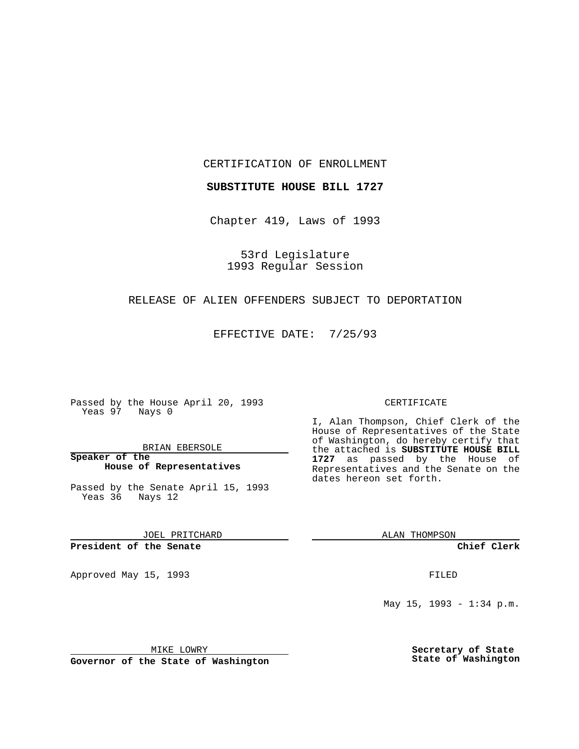CERTIFICATION OF ENROLLMENT

**SUBSTITUTE HOUSE BILL 1727**

Chapter 419, Laws of 1993

53rd Legislature 1993 Regular Session

## RELEASE OF ALIEN OFFENDERS SUBJECT TO DEPORTATION

EFFECTIVE DATE: 7/25/93

Passed by the House April 20, 1993 Yeas 97 Nays 0

BRIAN EBERSOLE

**Speaker of the House of Representatives**

Passed by the Senate April 15, 1993 Yeas 36 Nays 12

JOEL PRITCHARD

# **President of the Senate**

Approved May 15, 1993 **FILED** 

#### CERTIFICATE

I, Alan Thompson, Chief Clerk of the House of Representatives of the State of Washington, do hereby certify that the attached is **SUBSTITUTE HOUSE BILL 1727** as passed by the House of Representatives and the Senate on the dates hereon set forth.

ALAN THOMPSON

**Chief Clerk**

May 15, 1993 - 1:34 p.m.

MIKE LOWRY

**Governor of the State of Washington**

**Secretary of State State of Washington**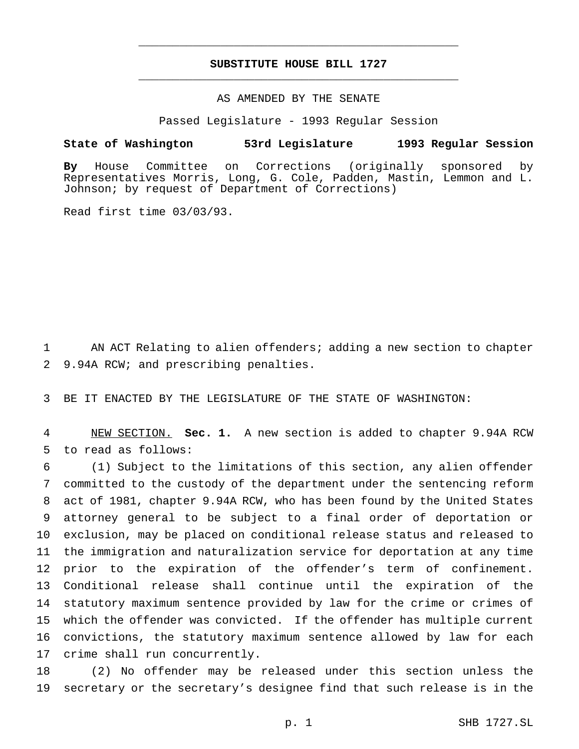# **SUBSTITUTE HOUSE BILL 1727** \_\_\_\_\_\_\_\_\_\_\_\_\_\_\_\_\_\_\_\_\_\_\_\_\_\_\_\_\_\_\_\_\_\_\_\_\_\_\_\_\_\_\_\_\_\_\_

\_\_\_\_\_\_\_\_\_\_\_\_\_\_\_\_\_\_\_\_\_\_\_\_\_\_\_\_\_\_\_\_\_\_\_\_\_\_\_\_\_\_\_\_\_\_\_

### AS AMENDED BY THE SENATE

Passed Legislature - 1993 Regular Session

#### **State of Washington 53rd Legislature 1993 Regular Session**

**By** House Committee on Corrections (originally sponsored by Representatives Morris, Long, G. Cole, Padden, Mastin, Lemmon and L. Johnson; by request of Department of Corrections)

Read first time 03/03/93.

 AN ACT Relating to alien offenders; adding a new section to chapter 9.94A RCW; and prescribing penalties.

BE IT ENACTED BY THE LEGISLATURE OF THE STATE OF WASHINGTON:

 NEW SECTION. **Sec. 1.** A new section is added to chapter 9.94A RCW to read as follows:

 (1) Subject to the limitations of this section, any alien offender committed to the custody of the department under the sentencing reform act of 1981, chapter 9.94A RCW, who has been found by the United States attorney general to be subject to a final order of deportation or exclusion, may be placed on conditional release status and released to the immigration and naturalization service for deportation at any time prior to the expiration of the offender's term of confinement. Conditional release shall continue until the expiration of the statutory maximum sentence provided by law for the crime or crimes of which the offender was convicted. If the offender has multiple current convictions, the statutory maximum sentence allowed by law for each crime shall run concurrently.

 (2) No offender may be released under this section unless the secretary or the secretary's designee find that such release is in the